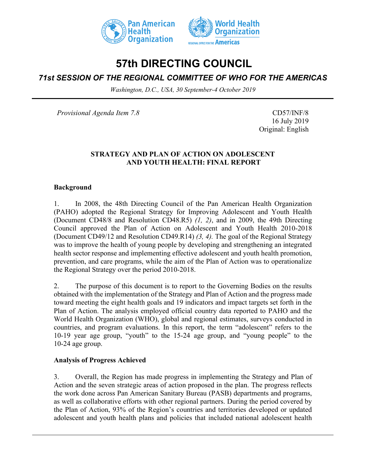



# **57th DIRECTING COUNCIL**

## *71st SESSION OF THE REGIONAL COMMITTEE OF WHO FOR THE AMERICAS*

*Washington, D.C., USA, 30 September-4 October 2019*

*Provisional Agenda Item 7.8* CD57/INF/8

16 July 2019 Original: English

### **STRATEGY AND PLAN OF ACTION ON ADOLESCENT AND YOUTH HEALTH: FINAL REPORT**

#### **Background**

1. In 2008, the 48th Directing Council of the Pan American Health Organization (PAHO) adopted the Regional Strategy for Improving Adolescent and Youth Health (Document CD48/8 and Resolution CD48.R5) *(1, 2)*, and in 2009, the 49th Directing Council approved the Plan of Action on Adolescent and Youth Health 2010-2018 (Document CD49/12 and Resolution CD49.R14) *(3, 4).* The goal of the Regional Strategy was to improve the health of young people by developing and strengthening an integrated health sector response and implementing effective adolescent and youth health promotion, prevention, and care programs, while the aim of the Plan of Action was to operationalize the Regional Strategy over the period 2010-2018.

2. The purpose of this document is to report to the Governing Bodies on the results obtained with the implementation of the Strategy and Plan of Action and the progress made toward meeting the eight health goals and 19 indicators and impact targets set forth in the Plan of Action. The analysis employed official country data reported to PAHO and the World Health Organization (WHO), global and regional estimates, surveys conducted in countries, and program evaluations. In this report, the term "adolescent" refers to the 10-19 year age group, "youth" to the 15-24 age group, and "young people" to the 10-24 age group.

#### **Analysis of Progress Achieved**

3. Overall, the Region has made progress in implementing the Strategy and Plan of Action and the seven strategic areas of action proposed in the plan. The progress reflects the work done across Pan American Sanitary Bureau (PASB) departments and programs, as well as collaborative efforts with other regional partners. During the period covered by the Plan of Action, 93% of the Region's countries and territories developed or updated adolescent and youth health plans and policies that included national adolescent health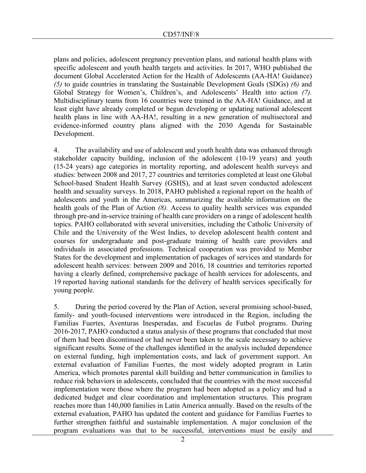plans and policies, adolescent pregnancy prevention plans, and national health plans with specific adolescent and youth health targets and activities. In 2017, WHO published the document Global Accelerated Action for the Health of Adolescents (AA-HA! Guidance) *(5)* to guide countries in translating the Sustainable Development Goals (SDGs) *(6)* and Global Strategy for Women's, Children's, and Adolescents' Health into action *(7).* Multidisciplinary teams from 16 countries were trained in the AA-HA! Guidance, and at least eight have already completed or begun developing or updating national adolescent health plans in line with AA-HA!, resulting in a new generation of multisectoral and evidence-informed country plans aligned with the 2030 Agenda for Sustainable Development.

4. The availability and use of adolescent and youth health data was enhanced through stakeholder capacity building, inclusion of the adolescent (10-19 years) and youth (15-24 years) age categories in mortality reporting, and adolescent health surveys and studies: between 2008 and 2017, 27 countries and territories completed at least one Global School-based Student Health Survey (GSHS), and at least seven conducted adolescent health and sexuality surveys. In 2018, PAHO published a regional report on the health of adolescents and youth in the Americas, summarizing the available information on the health goals of the Plan of Action *(8).* Access to quality health services was expanded through pre-and in-service training of health care providers on a range of adolescent health topics. PAHO collaborated with several universities, including the Catholic University of Chile and the University of the West Indies, to develop adolescent health content and courses for undergraduate and post-graduate training of health care providers and individuals in associated professions. Technical cooperation was provided to Member States for the development and implementation of packages of services and standards for adolescent health services: between 2009 and 2016, 18 countries and territories reported having a clearly defined, comprehensive package of health services for adolescents, and 19 reported having national standards for the delivery of health services specifically for young people.

5. During the period covered by the Plan of Action, several promising school-based, family- and youth-focused interventions were introduced in the Region, including the Familias Fuertes, Aventuras Inesperadas, and Escuelas de Futbol programs. During 2016-2017, PAHO conducted a status analysis of these programs that concluded that most of them had been discontinued or had never been taken to the scale necessary to achieve significant results. Some of the challenges identified in the analysis included dependence on external funding, high implementation costs, and lack of government support. An external evaluation of Familias Fuertes, the most widely adopted program in Latin America, which promotes parental skill building and better communication in families to reduce risk behaviors in adolescents, concluded that the countries with the most successful implementation were those where the program had been adopted as a policy and had a dedicated budget and clear coordination and implementation structures. This program reaches more than 140,000 families in Latin America annually. Based on the results of the external evaluation, PAHO has updated the content and guidance for Familias Fuertes to further strengthen faithful and sustainable implementation. A major conclusion of the program evaluations was that to be successful, interventions must be easily and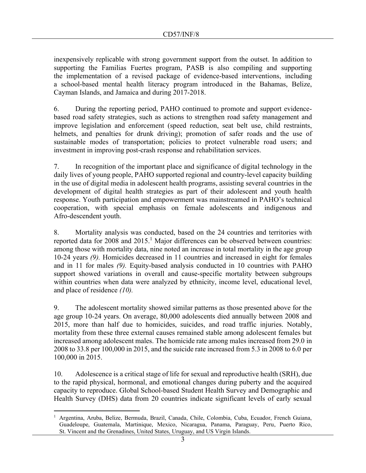inexpensively replicable with strong government support from the outset. In addition to supporting the Familias Fuertes program, PASB is also compiling and supporting the implementation of a revised package of evidence-based interventions, including a school-based mental health literacy program introduced in the Bahamas, Belize, Cayman Islands, and Jamaica and during 2017-2018.

6. During the reporting period, PAHO continued to promote and support evidencebased road safety strategies, such as actions to strengthen road safety management and improve legislation and enforcement (speed reduction, seat belt use, child restraints, helmets, and penalties for drunk driving); promotion of safer roads and the use of sustainable modes of transportation; policies to protect vulnerable road users; and investment in improving post-crash response and rehabilitation services.

7. In recognition of the important place and significance of digital technology in the daily lives of young people, PAHO supported regional and country-level capacity building in the use of digital media in adolescent health programs, assisting several countries in the development of digital health strategies as part of their adolescent and youth health response. Youth participation and empowerment was mainstreamed in PAHO's technical cooperation, with special emphasis on female adolescents and indigenous and Afro-descendent youth.

8. Mortality analysis was conducted, based on the 24 countries and territories with reported data for 2008 and  $2015$ .<sup>1</sup> Major differences can be observed between countries: among those with mortality data, nine noted an increase in total mortality in the age group 10-24 years *(9).* Homicides decreased in 11 countries and increased in eight for females and in 11 for males *(9).* Equity-based analysis conducted in 10 countries with PAHO support showed variations in overall and cause-specific mortality between subgroups within countries when data were analyzed by ethnicity, income level, educational level, and place of residence *(10).*

9. The adolescent mortality showed similar patterns as those presented above for the age group 10-24 years. On average, 80,000 adolescents died annually between 2008 and 2015, more than half due to homicides, suicides, and road traffic injuries. Notably, mortality from these three external causes remained stable among adolescent females but increased among adolescent males. The homicide rate among males increased from 29.0 in 2008 to 33.8 per 100,000 in 2015, and the suicide rate increased from 5.3 in 2008 to 6.0 per 100,000 in 2015.

10. Adolescence is a critical stage of life for sexual and reproductive health (SRH), due to the rapid physical, hormonal, and emotional changes during puberty and the acquired capacity to reproduce. Global School-based Student Health Survey and Demographic and Health Survey (DHS) data from 20 countries indicate significant levels of early sexual

<sup>1</sup> Argentina, Aruba, Belize, Bermuda, Brazil, Canada, Chile, Colombia, Cuba, Ecuador, French Guiana, Guadeloupe, Guatemala, Martinique, Mexico, Nicaragua, Panama, Paraguay, Peru, Puerto Rico, St. Vincent and the Grenadines, United States, Uruguay, and US Virgin Islands.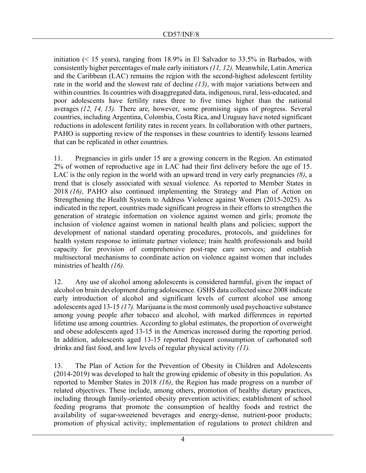initiation  $($  15 years), ranging from 18.9% in El Salvador to 33.5% in Barbados, with consistently higher percentages of male early initiators *(11, 12).* Meanwhile, Latin America and the Caribbean (LAC) remains the region with the second-highest adolescent fertility rate in the world and the slowest rate of decline *(13)*, with major variations between and within countries*.* In countries with disaggregated data, indigenous, rural, less-educated, and poor adolescents have fertility rates three to five times higher than the national averages *(12, 14, 15).* There are, however, some promising signs of progress. Several countries, including Argentina, Colombia, Costa Rica, and Uruguay have noted significant reductions in adolescent fertility rates in recent years. In collaboration with other partners, PAHO is supporting review of the responses in these countries to identify lessons learned that can be replicated in other countries.

11. Pregnancies in girls under 15 are a growing concern in the Region. An estimated 2% of women of reproductive age in LAC had their first delivery before the age of 15. LAC is the only region in the world with an upward trend in very early pregnancies *(8)*, a trend that is closely associated with sexual violence*.* As reported to Member States in 2018 *(16)*, PAHO also continued implementing the Strategy and Plan of Action on Strengthening the Health System to Address Violence against Women (2015-2025). As indicated in the report, countries made significant progress in their efforts to strengthen the generation of strategic information on violence against women and girls; promote the inclusion of violence against women in national health plans and policies; support the development of national standard operating procedures, protocols, and guidelines for health system response to intimate partner violence; train health professionals and build capacity for provision of comprehensive post-rape care services; and establish multisectoral mechanisms to coordinate action on violence against women that includes ministries of health *(16).*

12. Any use of alcohol among adolescents is considered harmful, given the impact of alcohol on brain development during adolescence. GSHS data collected since 2008 indicate early introduction of alcohol and significant levels of current alcohol use among adolescents aged 13-15 *(17).* Marijuana is the most commonly used psychoactive substance among young people after tobacco and alcohol, with marked differences in reported lifetime use among countries. According to global estimates, the proportion of overweight and obese adolescents aged 13-15 in the Americas increased during the reporting period. In addition, adolescents aged 13-15 reported frequent consumption of carbonated soft drinks and fast food, and low levels of regular physical activity *(11).*

13. The Plan of Action for the Prevention of Obesity in Children and Adolescents (2014-2019) was developed to halt the growing epidemic of obesity in this population. As reported to Member States in 2018 *(16)*, the Region has made progress on a number of related objectives. These include, among others, promotion of healthy dietary practices, including through family-oriented obesity prevention activities; establishment of school feeding programs that promote the consumption of healthy foods and restrict the availability of sugar-sweetened beverages and energy-dense, nutrient-poor products; promotion of physical activity; implementation of regulations to protect children and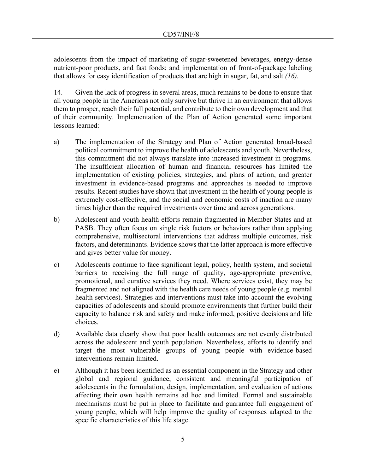adolescents from the impact of marketing of sugar-sweetened beverages, energy-dense nutrient-poor products, and fast foods; and implementation of front-of-package labeling that allows for easy identification of products that are high in sugar, fat, and salt *(16).*

14. Given the lack of progress in several areas, much remains to be done to ensure that all young people in the Americas not only survive but thrive in an environment that allows them to prosper, reach their full potential, and contribute to their own development and that of their community. Implementation of the Plan of Action generated some important lessons learned:

- a) The implementation of the Strategy and Plan of Action generated broad-based political commitment to improve the health of adolescents and youth. Nevertheless, this commitment did not always translate into increased investment in programs. The insufficient allocation of human and financial resources has limited the implementation of existing policies, strategies, and plans of action, and greater investment in evidence-based programs and approaches is needed to improve results. Recent studies have shown that investment in the health of young people is extremely cost-effective, and the social and economic costs of inaction are many times higher than the required investments over time and across generations.
- b) Adolescent and youth health efforts remain fragmented in Member States and at PASB. They often focus on single risk factors or behaviors rather than applying comprehensive, multisectoral interventions that address multiple outcomes, risk factors, and determinants. Evidence shows that the latter approach is more effective and gives better value for money.
- c) Adolescents continue to face significant legal, policy, health system, and societal barriers to receiving the full range of quality, age-appropriate preventive, promotional, and curative services they need. Where services exist, they may be fragmented and not aligned with the health care needs of young people (e.g. mental health services). Strategies and interventions must take into account the evolving capacities of adolescents and should promote environments that further build their capacity to balance risk and safety and make informed, positive decisions and life choices.
- d) Available data clearly show that poor health outcomes are not evenly distributed across the adolescent and youth population. Nevertheless, efforts to identify and target the most vulnerable groups of young people with evidence-based interventions remain limited.
- e) Although it has been identified as an essential component in the Strategy and other global and regional guidance, consistent and meaningful participation of adolescents in the formulation, design, implementation, and evaluation of actions affecting their own health remains ad hoc and limited. Formal and sustainable mechanisms must be put in place to facilitate and guarantee full engagement of young people, which will help improve the quality of responses adapted to the specific characteristics of this life stage.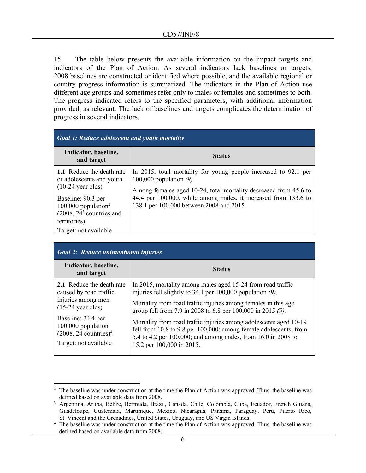15. The table below presents the available information on the impact targets and indicators of the Plan of Action. As several indicators lack baselines or targets, 2008 baselines are constructed or identified where possible, and the available regional or country progress information is summarized. The indicators in the Plan of Action use different age groups and sometimes refer only to males or females and sometimes to both. The progress indicated refers to the specified parameters, with additional information provided, as relevant. The lack of baselines and targets complicates the determination of progress in several indicators.

| <b>Goal 1: Reduce adolescent and youth mortality</b>                                                                                                                                               |                                                                                                                                                                                                                                                                                  |
|----------------------------------------------------------------------------------------------------------------------------------------------------------------------------------------------------|----------------------------------------------------------------------------------------------------------------------------------------------------------------------------------------------------------------------------------------------------------------------------------|
| Indicator, baseline,<br>and target                                                                                                                                                                 | <b>Status</b>                                                                                                                                                                                                                                                                    |
| <b>1.1</b> Reduce the death rate<br>of adolescents and youth<br>$(10-24 \text{ year}$ olds)<br>Baseline: 90.3 per<br>100,000 population <sup>2</sup><br>$(2008, 243$ countries and<br>territories) | In 2015, total mortality for young people increased to 92.1 per<br>100,000 population $(9)$ .<br>Among females aged 10-24, total mortality decreased from 45.6 to<br>44,4 per 100,000, while among males, it increased from 133.6 to<br>138.1 per 100,000 between 2008 and 2015. |
| Target: not available                                                                                                                                                                              |                                                                                                                                                                                                                                                                                  |

| <b>Goal 2: Reduce unintentional injuries</b>                                                                                                                                                                         |                                                                                                                                                                                                                                                                                                                                                                                                                                                                                                    |
|----------------------------------------------------------------------------------------------------------------------------------------------------------------------------------------------------------------------|----------------------------------------------------------------------------------------------------------------------------------------------------------------------------------------------------------------------------------------------------------------------------------------------------------------------------------------------------------------------------------------------------------------------------------------------------------------------------------------------------|
| Indicator, baseline,<br>and target                                                                                                                                                                                   | <b>Status</b>                                                                                                                                                                                                                                                                                                                                                                                                                                                                                      |
| 2.1 Reduce the death rate<br>caused by road traffic<br>injuries among men<br>$(15-24 \text{ year}$ olds)<br>Baseline: 34.4 per<br>100,000 population<br>$(2008, 24$ countries) <sup>4</sup><br>Target: not available | In 2015, mortality among males aged 15-24 from road traffic<br>injuries fell slightly to 34.1 per 100,000 population (9).<br>Mortality from road traffic injuries among females in this age<br>group fell from 7.9 in 2008 to 6.8 per 100,000 in 2015 (9).<br>Mortality from road traffic injuries among adolescents aged 10-19<br>fell from 10.8 to 9.8 per 100,000; among female adolescents, from<br>5.4 to 4.2 per 100,000; and among males, from 16.0 in 2008 to<br>15.2 per 100,000 in 2015. |

The baseline was under construction at the time the Plan of Action was approved. Thus, the baseline was defined based on available data from 2008.

<sup>3</sup> Argentina, Aruba, Belize, Bermuda, Brazil, Canada, Chile, Colombia, Cuba, Ecuador, French Guiana, Guadeloupe, Guatemala, Martinique, Mexico, Nicaragua, Panama, Paraguay, Peru, Puerto Rico, St. Vincent and the Grenadines, United States, Uruguay, and US Virgin Islands.

<sup>&</sup>lt;sup>4</sup> The baseline was under construction at the time the Plan of Action was approved. Thus, the baseline was defined based on available data from 2008.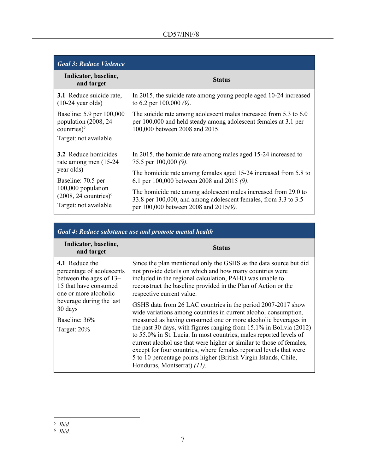| <b>Goal 3: Reduce Violence</b>                                                                                                                                                  |                                                                                                                                                                                                                                                                                                                                                                                            |
|---------------------------------------------------------------------------------------------------------------------------------------------------------------------------------|--------------------------------------------------------------------------------------------------------------------------------------------------------------------------------------------------------------------------------------------------------------------------------------------------------------------------------------------------------------------------------------------|
| Indicator, baseline,<br>and target                                                                                                                                              | <b>Status</b>                                                                                                                                                                                                                                                                                                                                                                              |
| <b>3.1</b> Reduce suicide rate,<br>$(10-24 \text{ year}$ olds)                                                                                                                  | In 2015, the suicide rate among young people aged 10-24 increased<br>to 6.2 per 100,000 $(9)$ .                                                                                                                                                                                                                                                                                            |
| Baseline: 5.9 per 100,000<br>population (2008, 24)<br>countries $)^5$<br>Target: not available                                                                                  | The suicide rate among adolescent males increased from 5.3 to 6.0<br>per 100,000 and held steady among adolescent females at 3.1 per<br>100,000 between 2008 and 2015.                                                                                                                                                                                                                     |
| <b>3.2</b> Reduce homicides<br>rate among men (15-24)<br>year olds)<br>Baseline: 70.5 per<br>100,000 population<br>$(2008, 24$ countries) <sup>6</sup><br>Target: not available | In 2015, the homicide rate among males aged 15-24 increased to<br>75.5 per $100,000$ (9).<br>The homicide rate among females aged 15-24 increased from 5.8 to<br>6.1 per 100,000 between 2008 and 2015 (9).<br>The homicide rate among adolescent males increased from 29.0 to<br>33.8 per 100,000, and among adolescent females, from 3.3 to 3.5<br>per 100,000 between 2008 and 2015(9). |

| Goal 4: Reduce substance use and promote mental health                                                                                                                                             |                                                                                                                                                                                                                                                                                                                                                                                                                                                                                                                                                                                                                                                                                                                                                                                                                                                                                                |
|----------------------------------------------------------------------------------------------------------------------------------------------------------------------------------------------------|------------------------------------------------------------------------------------------------------------------------------------------------------------------------------------------------------------------------------------------------------------------------------------------------------------------------------------------------------------------------------------------------------------------------------------------------------------------------------------------------------------------------------------------------------------------------------------------------------------------------------------------------------------------------------------------------------------------------------------------------------------------------------------------------------------------------------------------------------------------------------------------------|
| Indicator, baseline,<br>and target                                                                                                                                                                 | <b>Status</b>                                                                                                                                                                                                                                                                                                                                                                                                                                                                                                                                                                                                                                                                                                                                                                                                                                                                                  |
| 4.1 Reduce the<br>percentage of adolescents<br>between the ages of 13–<br>15 that have consumed<br>one or more alcoholic<br>beverage during the last<br>30 days<br>Baseline: 36%<br>Target: $20\%$ | Since the plan mentioned only the GSHS as the data source but did<br>not provide details on which and how many countries were<br>included in the regional calculation, PAHO was unable to<br>reconstruct the baseline provided in the Plan of Action or the<br>respective current value.<br>GSHS data from 26 LAC countries in the period 2007-2017 show<br>wide variations among countries in current alcohol consumption,<br>measured as having consumed one or more alcoholic beverages in<br>the past 30 days, with figures ranging from $15.1\%$ in Bolivia (2012)<br>to 55.0% in St. Lucia. In most countries, males reported levels of<br>current alcohol use that were higher or similar to those of females,<br>except for four countries, where females reported levels that were<br>5 to 10 percentage points higher (British Virgin Islands, Chile,<br>Honduras, Montserrat) (11). |

<sup>5</sup> *Ibid.* 6 *Ibid.*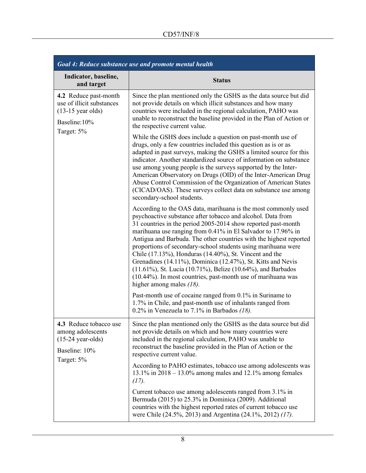| Goal 4: Reduce substance use and promote mental health                                                          |                                                                                                                                                                                                                                                                                                                                                                                                                                                                                                                                                                                                                                                                                              |
|-----------------------------------------------------------------------------------------------------------------|----------------------------------------------------------------------------------------------------------------------------------------------------------------------------------------------------------------------------------------------------------------------------------------------------------------------------------------------------------------------------------------------------------------------------------------------------------------------------------------------------------------------------------------------------------------------------------------------------------------------------------------------------------------------------------------------|
| Indicator, baseline,<br>and target                                                                              | <b>Status</b>                                                                                                                                                                                                                                                                                                                                                                                                                                                                                                                                                                                                                                                                                |
| 4.2 Reduce past-month<br>use of illicit substances<br>$(13-15 \text{ year}$ olds)<br>Baseline:10%<br>Target: 5% | Since the plan mentioned only the GSHS as the data source but did<br>not provide details on which illicit substances and how many<br>countries were included in the regional calculation, PAHO was<br>unable to reconstruct the baseline provided in the Plan of Action or<br>the respective current value.                                                                                                                                                                                                                                                                                                                                                                                  |
|                                                                                                                 | While the GSHS does include a question on past-month use of<br>drugs, only a few countries included this question as is or as<br>adapted in past surveys, making the GSHS a limited source for this<br>indicator. Another standardized source of information on substance<br>use among young people is the surveys supported by the Inter-<br>American Observatory on Drugs (OID) of the Inter-American Drug<br>Abuse Control Commission of the Organization of American States<br>(CICAD/OAS). These surveys collect data on substance use among<br>secondary-school students.                                                                                                              |
|                                                                                                                 | According to the OAS data, marihuana is the most commonly used<br>psychoactive substance after tobacco and alcohol. Data from<br>31 countries in the period 2005-2014 show reported past-month<br>marihuana use ranging from 0.41% in El Salvador to 17.96% in<br>Antigua and Barbuda. The other countries with the highest reported<br>proportions of secondary-school students using marihuana were<br>Chile (17.13%), Honduras (14.40%), St. Vincent and the<br>Grenadines (14.11%), Dominica (12.47%), St. Kitts and Nevis<br>(11.61%), St. Lucia (10.71%), Belize (10.64%), and Barbados<br>(10.44%). In most countries, past-month use of marihuana was<br>higher among males $(18)$ . |
|                                                                                                                 | Past-month use of cocaine ranged from 0.1% in Suriname to<br>1.7% in Chile, and past-month use of inhalants ranged from<br>0.2% in Venezuela to 7.1% in Barbados $(18)$ .                                                                                                                                                                                                                                                                                                                                                                                                                                                                                                                    |
| 4.3 Reduce tobacco use<br>among adolescents<br>$(15-24 \text{ year-olds})$<br>Baseline: 10%<br>Target: 5%       | Since the plan mentioned only the GSHS as the data source but did<br>not provide details on which and how many countries were<br>included in the regional calculation, PAHO was unable to<br>reconstruct the baseline provided in the Plan of Action or the<br>respective current value.                                                                                                                                                                                                                                                                                                                                                                                                     |
|                                                                                                                 | According to PAHO estimates, tobacco use among adolescents was<br>13.1% in $2018 - 13.0$ % among males and 12.1% among females<br>(17).                                                                                                                                                                                                                                                                                                                                                                                                                                                                                                                                                      |
|                                                                                                                 | Current tobacco use among adolescents ranged from 3.1% in<br>Bermuda (2015) to 25.3% in Dominica (2009). Additional<br>countries with the highest reported rates of current tobacco use<br>were Chile (24.5%, 2013) and Argentina (24.1%, 2012) (17).                                                                                                                                                                                                                                                                                                                                                                                                                                        |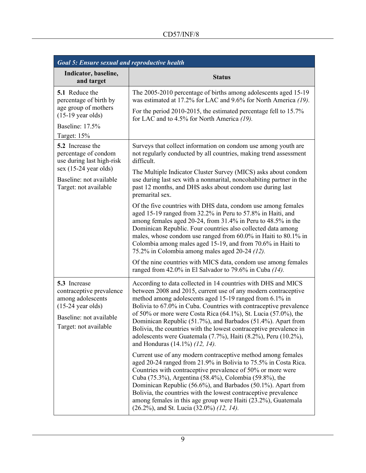| <b>Goal 5: Ensure sexual and reproductive health</b>                                                                                                        |                                                                                                                                                                                                                                                                                                                                                                                                                                                                                                                                                                                     |
|-------------------------------------------------------------------------------------------------------------------------------------------------------------|-------------------------------------------------------------------------------------------------------------------------------------------------------------------------------------------------------------------------------------------------------------------------------------------------------------------------------------------------------------------------------------------------------------------------------------------------------------------------------------------------------------------------------------------------------------------------------------|
| Indicator, baseline,<br>and target                                                                                                                          | <b>Status</b>                                                                                                                                                                                                                                                                                                                                                                                                                                                                                                                                                                       |
| 5.1 Reduce the<br>percentage of birth by                                                                                                                    | The 2005-2010 percentage of births among adolescents aged 15-19<br>was estimated at 17.2% for LAC and 9.6% for North America (19).                                                                                                                                                                                                                                                                                                                                                                                                                                                  |
| age group of mothers<br>$(15-19 \text{ year}$ olds)                                                                                                         | For the period 2010-2015, the estimated percentage fell to 15.7%<br>for LAC and to 4.5% for North America (19).                                                                                                                                                                                                                                                                                                                                                                                                                                                                     |
| Baseline: 17.5%<br>Target: 15%                                                                                                                              |                                                                                                                                                                                                                                                                                                                                                                                                                                                                                                                                                                                     |
| <b>5.2</b> Increase the<br>percentage of condom<br>use during last high-risk<br>$sex (15-24 year olds)$<br>Baseline: not available<br>Target: not available | Surveys that collect information on condom use among youth are<br>not regularly conducted by all countries, making trend assessment<br>difficult.                                                                                                                                                                                                                                                                                                                                                                                                                                   |
|                                                                                                                                                             | The Multiple Indicator Cluster Survey (MICS) asks about condom<br>use during last sex with a nonmarital, noncohabiting partner in the<br>past 12 months, and DHS asks about condom use during last<br>premarital sex.                                                                                                                                                                                                                                                                                                                                                               |
|                                                                                                                                                             | Of the five countries with DHS data, condom use among females<br>aged 15-19 ranged from 32.2% in Peru to 57.8% in Haiti, and<br>among females aged 20-24, from 31.4% in Peru to 48.5% in the<br>Dominican Republic. Four countries also collected data among<br>males, whose condom use ranged from 60.0% in Haiti to 80.1% in<br>Colombia among males aged 15-19, and from 70.6% in Haiti to<br>75.2% in Colombia among males aged 20-24 (12).                                                                                                                                     |
|                                                                                                                                                             | Of the nine countries with MICS data, condom use among females<br>ranged from 42.0% in El Salvador to 79.6% in Cuba $(14)$ .                                                                                                                                                                                                                                                                                                                                                                                                                                                        |
| 5.3 Increase<br>contraceptive prevalence<br>among adolescents<br>$(15-24 \text{ year}$ olds)<br>Baseline: not available<br>Target: not available            | According to data collected in 14 countries with DHS and MICS<br>between 2008 and 2015, current use of any modern contraceptive<br>method among adolescents aged 15-19 ranged from 6.1% in<br>Bolivia to 67.0% in Cuba. Countries with contraceptive prevalence<br>of 50% or more were Costa Rica $(64.1\%)$ , St. Lucia $(57.0\%)$ , the<br>Dominican Republic (51.7%), and Barbados (51.4%). Apart from<br>Bolivia, the countries with the lowest contraceptive prevalence in<br>adolescents were Guatemala (7.7%), Haiti (8.2%), Peru (10.2%),<br>and Honduras (14.1%) (12, 14). |
|                                                                                                                                                             | Current use of any modern contraceptive method among females<br>aged 20-24 ranged from 21.9% in Bolivia to 75.5% in Costa Rica.<br>Countries with contraceptive prevalence of 50% or more were<br>Cuba (75.3%), Argentina (58.4%), Colombia (59.8%), the<br>Dominican Republic (56.6%), and Barbados (50.1%). Apart from<br>Bolivia, the countries with the lowest contraceptive prevalence<br>among females in this age group were Haiti (23.2%), Guatemala<br>(26.2%), and St. Lucia (32.0%) (12, 14).                                                                            |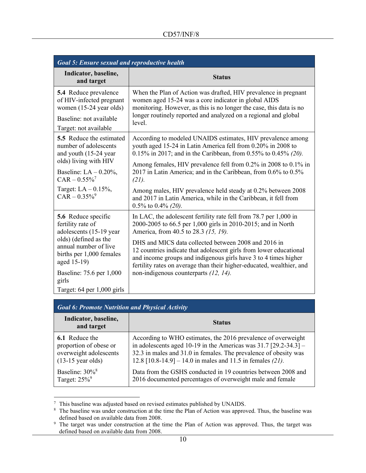| <b>Goal 5: Ensure sexual and reproductive health</b>                                                                                                                                |                                                                                                                                                                                                                                                                                                                                                                                                             |
|-------------------------------------------------------------------------------------------------------------------------------------------------------------------------------------|-------------------------------------------------------------------------------------------------------------------------------------------------------------------------------------------------------------------------------------------------------------------------------------------------------------------------------------------------------------------------------------------------------------|
| Indicator, baseline,<br>and target                                                                                                                                                  | <b>Status</b>                                                                                                                                                                                                                                                                                                                                                                                               |
| 5.4 Reduce prevalence<br>of HIV-infected pregnant<br>women (15-24 year olds)<br>Baseline: not available<br>Target: not available                                                    | When the Plan of Action was drafted, HIV prevalence in pregnant<br>women aged 15-24 was a core indicator in global AIDS<br>monitoring. However, as this is no longer the case, this data is no<br>longer routinely reported and analyzed on a regional and global<br>level.                                                                                                                                 |
| <b>5.5</b> Reduce the estimated<br>number of adolescents<br>and youth (15-24 year<br>olds) living with HIV<br>Baseline: $LA - 0.20\%$ ,<br>$CAR - 0.55\%$<br>Target: $LA - 0.15\%,$ | According to modeled UNAIDS estimates, HIV prevalence among<br>youth aged 15-24 in Latin America fell from 0.20% in 2008 to<br>0.15% in 2017; and in the Caribbean, from 0.55% to 0.45% (20).<br>Among females, HIV prevalence fell from 0.2% in 2008 to 0.1% in<br>2017 in Latin America; and in the Caribbean, from 0.6% to 0.5%<br>(21).<br>Among males, HIV prevalence held steady at 0.2% between 2008 |
| $CAR - 0.35\%$ <sup>9</sup>                                                                                                                                                         | and 2017 in Latin America, while in the Caribbean, it fell from<br>$0.5\%$ to $0.4\%$ (20).                                                                                                                                                                                                                                                                                                                 |
| 5.6 Reduce specific<br>fertility rate of<br>adolescents (15-19 year<br>olds) (defined as the<br>annual number of live<br>births per 1,000 females                                   | In LAC, the adolescent fertility rate fell from 78.7 per 1,000 in<br>2000-2005 to 66.5 per 1,000 girls in 2010-2015; and in North<br>America, from 40.5 to 28.3 (15, 19).<br>DHS and MICS data collected between 2008 and 2016 in<br>12 countries indicate that adolescent girls from lower educational                                                                                                     |
| aged 15-19)<br>Baseline: 75.6 per 1,000<br>girls                                                                                                                                    | and income groups and indigenous girls have 3 to 4 times higher<br>fertility rates on average than their higher-educated, wealthier, and<br>non-indigenous counterparts (12, 14).                                                                                                                                                                                                                           |
| Target: $64$ per $1,000$ girls                                                                                                                                                      |                                                                                                                                                                                                                                                                                                                                                                                                             |

| <b>Goal 6: Promote Nutrition and Physical Activity</b> |                                                                    |
|--------------------------------------------------------|--------------------------------------------------------------------|
| Indicator, baseline,<br>and target                     | <b>Status</b>                                                      |
| <b>6.1</b> Reduce the                                  | According to WHO estimates, the 2016 prevalence of overweight      |
| proportion of obese or                                 | in adolescents aged 10-19 in the Americas was $31.7$ [29.2-34.3] – |
| overweight adolescents                                 | 32.3 in males and 31.0 in females. The prevalence of obesity was   |
| $(13-15 \text{ year}$ olds)                            | 12.8 $[10.8-14.9] - 14.0$ in males and 11.5 in females (21).       |
| Baseline: $30\%$ <sup>8</sup>                          | Data from the GSHS conducted in 19 countries between 2008 and      |
| Target: $25\%$ <sup>9</sup>                            | 2016 documented percentages of overweight male and female          |

 $7$  This baseline was adjusted based on revised estimates published by UNAIDS.

<sup>&</sup>lt;sup>8</sup> The baseline was under construction at the time the Plan of Action was approved. Thus, the baseline was defined based on available data from 2008.

<sup>&</sup>lt;sup>9</sup> The target was under construction at the time the Plan of Action was approved. Thus, the target was defined based on available data from 2008.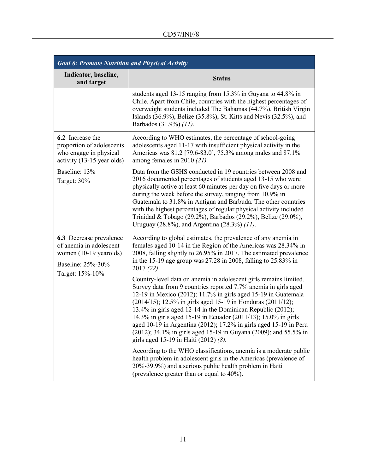| <b>Goal 6: Promote Nutrition and Physical Activity</b>                                                               |                                                                                                                                                                                                                                                                                                                                                                                                                                                                                                                                                                                                                                                                                                                                                                                                                                                                                                                                                                                                                                                                                                |
|----------------------------------------------------------------------------------------------------------------------|------------------------------------------------------------------------------------------------------------------------------------------------------------------------------------------------------------------------------------------------------------------------------------------------------------------------------------------------------------------------------------------------------------------------------------------------------------------------------------------------------------------------------------------------------------------------------------------------------------------------------------------------------------------------------------------------------------------------------------------------------------------------------------------------------------------------------------------------------------------------------------------------------------------------------------------------------------------------------------------------------------------------------------------------------------------------------------------------|
| Indicator, baseline,<br>and target                                                                                   | <b>Status</b>                                                                                                                                                                                                                                                                                                                                                                                                                                                                                                                                                                                                                                                                                                                                                                                                                                                                                                                                                                                                                                                                                  |
|                                                                                                                      | students aged 13-15 ranging from 15.3% in Guyana to 44.8% in<br>Chile. Apart from Chile, countries with the highest percentages of<br>overweight students included The Bahamas (44.7%), British Virgin<br>Islands (36.9%), Belize (35.8%), St. Kitts and Nevis (32.5%), and<br>Barbados (31.9%) (11).                                                                                                                                                                                                                                                                                                                                                                                                                                                                                                                                                                                                                                                                                                                                                                                          |
| <b>6.2</b> Increase the<br>proportion of adolescents<br>who engage in physical<br>activity (13-15 year olds)         | According to WHO estimates, the percentage of school-going<br>adolescents aged 11-17 with insufficient physical activity in the<br>Americas was 81.2 [79.6-83.0], 75.3% among males and 87.1%<br>among females in 2010 $(21)$ .                                                                                                                                                                                                                                                                                                                                                                                                                                                                                                                                                                                                                                                                                                                                                                                                                                                                |
| Baseline: 13%<br>Target: 30%                                                                                         | Data from the GSHS conducted in 19 countries between 2008 and<br>2016 documented percentages of students aged 13-15 who were<br>physically active at least 60 minutes per day on five days or more<br>during the week before the survey, ranging from 10.9% in<br>Guatemala to 31.8% in Antigua and Barbuda. The other countries<br>with the highest percentages of regular physical activity included<br>Trinidad & Tobago (29.2%), Barbados (29.2%), Belize (29.0%),<br>Uruguay (28.8%), and Argentina (28.3%) (11).                                                                                                                                                                                                                                                                                                                                                                                                                                                                                                                                                                         |
| 6.3 Decrease prevalence<br>of anemia in adolescent<br>women (10-19 yearolds)<br>Baseline: 25%-30%<br>Target: 15%-10% | According to global estimates, the prevalence of any anemia in<br>females aged 10-14 in the Region of the Americas was 28.34% in<br>2008, falling slightly to 26.95% in 2017. The estimated prevalence<br>in the 15-19 age group was $27.28$ in 2008, falling to $25.83\%$ in<br>$2017(22)$ .<br>Country-level data on anemia in adolescent girls remains limited.<br>Survey data from 9 countries reported 7.7% anemia in girls aged<br>12-19 in Mexico (2012); 11.7% in girls aged 15-19 in Guatemala<br>(2014/15); 12.5% in girls aged 15-19 in Honduras (2011/12);<br>13.4% in girls aged 12-14 in the Dominican Republic (2012);<br>14.3% in girls aged 15-19 in Ecuador (2011/13); 15.0% in girls<br>aged 10-19 in Argentina (2012); 17.2% in girls aged 15-19 in Peru<br>(2012); 34.1% in girls aged 15-19 in Guyana (2009); and 55.5% in<br>girls aged 15-19 in Haiti (2012) (8).<br>According to the WHO classifications, anemia is a moderate public<br>health problem in adolescent girls in the Americas (prevalence of<br>20%-39.9%) and a serious public health problem in Haiti |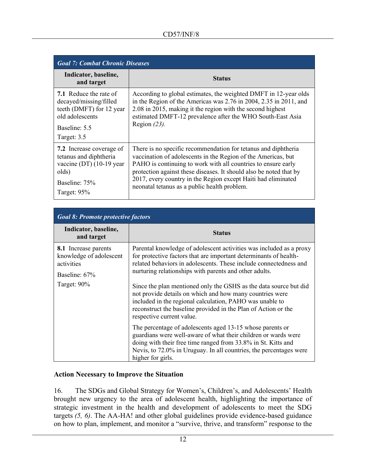| <b>Goal 7: Combat Chronic Diseases</b>                                                                                                 |                                                                                                                                                                                                                                                                                                                                                                                         |
|----------------------------------------------------------------------------------------------------------------------------------------|-----------------------------------------------------------------------------------------------------------------------------------------------------------------------------------------------------------------------------------------------------------------------------------------------------------------------------------------------------------------------------------------|
| Indicator, baseline,<br>and target                                                                                                     | <b>Status</b>                                                                                                                                                                                                                                                                                                                                                                           |
| <b>7.1</b> Reduce the rate of<br>decayed/missing/filled<br>teeth (DMFT) for 12 year<br>old adolescents<br>Baseline: 5.5<br>Target: 3.5 | According to global estimates, the weighted DMFT in 12-year olds<br>in the Region of the Americas was 2.76 in 2004, 2.35 in 2011, and<br>2.08 in 2015, making it the region with the second highest<br>estimated DMFT-12 prevalence after the WHO South-East Asia<br>Region $(23)$ .                                                                                                    |
| 7.2 Increase coverage of<br>tetanus and diphtheria<br>vaccine (DT) $(10-19 \text{ year})$<br>olds)<br>Baseline: 75%<br>Target: $95%$   | There is no specific recommendation for tetanus and diphtheria<br>vaccination of adolescents in the Region of the Americas, but<br>PAHO is continuing to work with all countries to ensure early<br>protection against these diseases. It should also be noted that by<br>2017, every country in the Region except Haiti had eliminated<br>neonatal tetanus as a public health problem. |

| <b>Goal 8: Promote protective factors</b>                                             |                                                                                                                                                                                                                                                                                          |
|---------------------------------------------------------------------------------------|------------------------------------------------------------------------------------------------------------------------------------------------------------------------------------------------------------------------------------------------------------------------------------------|
| Indicator, baseline,<br>and target                                                    | <b>Status</b>                                                                                                                                                                                                                                                                            |
| <b>8.1</b> Increase parents<br>knowledge of adolescent<br>activities<br>Baseline: 67% | Parental knowledge of adolescent activities was included as a proxy<br>for protective factors that are important determinants of health-<br>related behaviors in adolescents. These include connectedness and<br>nurturing relationships with parents and other adults.                  |
| Target: $90\%$                                                                        | Since the plan mentioned only the GSHS as the data source but did<br>not provide details on which and how many countries were<br>included in the regional calculation, PAHO was unable to<br>reconstruct the baseline provided in the Plan of Action or the<br>respective current value. |
|                                                                                       | The percentage of adolescents aged 13-15 whose parents or<br>guardians were well-aware of what their children or wards were<br>doing with their free time ranged from 33.8% in St. Kitts and<br>Nevis, to 72.0% in Uruguay. In all countries, the percentages were<br>higher for girls.  |

## **Action Necessary to Improve the Situation**

16. The SDGs and Global Strategy for Women's, Children's, and Adolescents' Health brought new urgency to the area of adolescent health, highlighting the importance of strategic investment in the health and development of adolescents to meet the SDG targets *(5, 6)*. The AA-HA! and other global guidelines provide evidence-based guidance on how to plan, implement, and monitor a "survive, thrive, and transform" response to the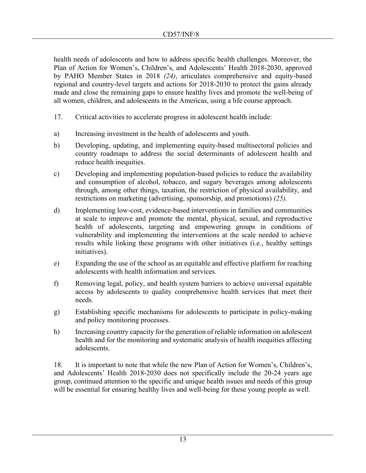health needs of adolescents and how to address specific health challenges. Moreover, the Plan of Action for Women's, Children's, and Adolescents' Health 2018-2030, approved by PAHO Member States in 2018 *(24)*, articulates comprehensive and equity-based regional and country-level targets and actions for 2018-2030 to protect the gains already made and close the remaining gaps to ensure healthy lives and promote the well-being of all women, children, and adolescents in the Americas, using a life course approach.

- 17. Critical activities to accelerate progress in adolescent health include:
- a) Increasing investment in the health of adolescents and youth.
- b) Developing, updating, and implementing equity-based multisectoral policies and country roadmaps to address the social determinants of adolescent health and reduce health inequities.
- c) Developing and implementing population-based policies to reduce the availability and consumption of alcohol, tobacco, and sugary beverages among adolescents through, among other things, taxation, the restriction of physical availability, and restrictions on marketing (advertising, sponsorship, and promotions) *(25).*
- d) Implementing low-cost, evidence-based interventions in families and communities at scale to improve and promote the mental, physical, sexual, and reproductive health of adolescents, targeting and empowering groups in conditions of vulnerability and implementing the interventions at the scale needed to achieve results while linking these programs with other initiatives (i.e., healthy settings initiatives).
- e) Expanding the use of the school as an equitable and effective platform for reaching adolescents with health information and services.
- f) Removing legal, policy, and health system barriers to achieve universal equitable access by adolescents to quality comprehensive health services that meet their needs.
- g) Establishing specific mechanisms for adolescents to participate in policy-making and policy monitoring processes.
- h) Increasing country capacity for the generation of reliable information on adolescent health and for the monitoring and systematic analysis of health inequities affecting adolescents.

18. It is important to note that while the new Plan of Action for Women's, Children's, and Adolescents' Health 2018-2030 does not specifically include the 20-24 years age group, continued attention to the specific and unique health issues and needs of this group will be essential for ensuring healthy lives and well-being for these young people as well.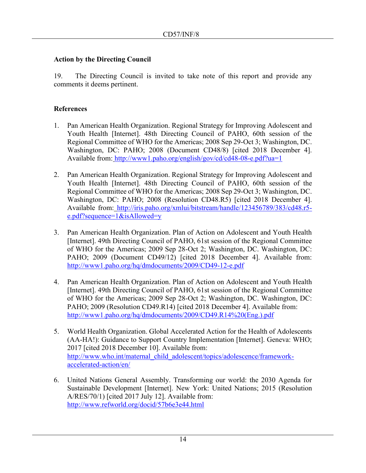## **Action by the Directing Council**

19. The Directing Council is invited to take note of this report and provide any comments it deems pertinent.

## **References**

- 1. Pan American Health Organization. Regional Strategy for Improving Adolescent and Youth Health [Internet]. 48th Directing Council of PAHO, 60th session of the Regional Committee of WHO for the Americas; 2008 Sep 29-Oct 3; Washington, DC. Washington, DC: PAHO; 2008 (Document CD48/8) [cited 2018 December 4]. Available from: <http://www1.paho.org/english/gov/cd/cd48-08-e.pdf?ua=1>
- 2. Pan American Health Organization. Regional Strategy for Improving Adolescent and Youth Health [Internet]. 48th Directing Council of PAHO, 60th session of the Regional Committee of WHO for the Americas; 2008 Sep 29-Oct 3; Washington, DC. Washington, DC: PAHO; 2008 (Resolution CD48.R5) [cited 2018 December 4]. Available from: [http://iris.paho.org/xmlui/bitstream/handle/123456789/383/cd48.r5](http://iris.paho.org/xmlui/bitstream/handle/123456789/383/cd48.r5-e.pdf?sequence=1&isAllowed=y) [e.pdf?sequence=1&isAllowed=y](http://iris.paho.org/xmlui/bitstream/handle/123456789/383/cd48.r5-e.pdf?sequence=1&isAllowed=y)
- 3. Pan American Health Organization. Plan of Action on Adolescent and Youth Health [Internet]. 49th Directing Council of PAHO, 61st session of the Regional Committee of WHO for the Americas; 2009 Sep 28-Oct 2; Washington, DC. Washington, DC: PAHO; 2009 (Document CD49/12) [cited 2018 December 4]. Available from: <http://www1.paho.org/hq/dmdocuments/2009/CD49-12-e.pdf>
- 4. Pan American Health Organization. Plan of Action on Adolescent and Youth Health [Internet]. 49th Directing Council of PAHO, 61st session of the Regional Committee of WHO for the Americas; 2009 Sep 28-Oct 2; Washington, DC. Washington, DC: PAHO; 2009 (Resolution CD49.R14) [cited 2018 December 4]. Available from: [http://www1.paho.org/hq/dmdocuments/2009/CD49.R14%20\(Eng.\).pdf](http://www1.paho.org/hq/dmdocuments/2009/CD49.R14%20(Eng.).pdf)
- 5. World Health Organization. Global Accelerated Action for the Health of Adolescents (AA-HA!): Guidance to Support Country Implementation [Internet]. Geneva: WHO; 2017 [cited 2018 December 10]. Available from: [http://www.who.int/maternal\\_child\\_adolescent/topics/adolescence/framework](http://www.who.int/maternal_child_adolescent/topics/adolescence/framework-accelerated-action/en/)[accelerated-action/en/](http://www.who.int/maternal_child_adolescent/topics/adolescence/framework-accelerated-action/en/)
- 6. United Nations General Assembly. Transforming our world: the 2030 Agenda for Sustainable Development [Internet]. New York: United Nations; 2015 (Resolution A/RES/70/1) [cited 2017 July 12]. Available from: <http://www.refworld.org/docid/57b6e3e44.html>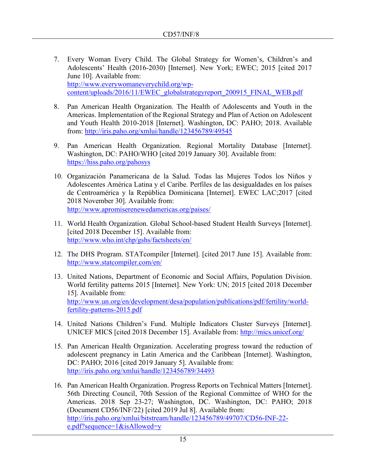- 7. Every Woman Every Child. The Global Strategy for Women's, Children's and Adolescents' Health (2016-2030) [Internet]. New York; EWEC; 2015 [cited 2017 June 10]. Available from: [http://www.everywomaneverychild.org/wp](http://www.everywomaneverychild.org/wp-content/uploads/2016/11/EWEC_globalstrategyreport_200915_FINAL_WEB.pdf)[content/uploads/2016/11/EWEC\\_globalstrategyreport\\_200915\\_FINAL\\_WEB.pdf](http://www.everywomaneverychild.org/wp-content/uploads/2016/11/EWEC_globalstrategyreport_200915_FINAL_WEB.pdf)
- 8. Pan American Health Organization. The Health of Adolescents and Youth in the Americas. Implementation of the Regional Strategy and Plan of Action on Adolescent and Youth Health 2010-2018 [Internet]. Washington, DC: PAHO; 2018. Available from:<http://iris.paho.org/xmlui/handle/123456789/49545>
- 9. Pan American Health Organization. Regional Mortality Database [Internet]. Washington, DC: PAHO/WHO [cited 2019 January 30]. Available from: <https://hiss.paho.org/pahosys>
- 10. Organización Panamericana de la Salud. Todas las Mujeres Todos los Niños y Adolescentes América Latina y el Caribe. Perfiles de las desigualdades en los países de Centroamérica y la República Dominicana [Internet]. EWEC LAC;2017 [cited 2018 November 30]. Available from: <http://www.apromiserenewedamericas.org/paises/>
- 11. World Health Organization. Global School-based Student Health Surveys [Internet]. [cited 2018 December 15]. Available from: <http://www.who.int/chp/gshs/factsheets/en/>
- 12. The DHS Program. STATcompiler [Internet]. [cited 2017 June 15]. Available from: <http://www.statcompiler.com/en/>
- 13. United Nations, Department of Economic and Social Affairs, Population Division. World fertility patterns 2015 [Internet]. New York: UN; 2015 [cited 2018 December 15]. Available from: [http://www.un.org/en/development/desa/population/publications/pdf/fertility/world](http://www.un.org/en/development/desa/population/publications/pdf/fertility/world-fertility-patterns-2015.pdf)[fertility-patterns-2015.pdf](http://www.un.org/en/development/desa/population/publications/pdf/fertility/world-fertility-patterns-2015.pdf)
- 14. United Nations Children's Fund. Multiple Indicators Cluster Surveys [Internet]. UNICEF MICS [cited 2018 December 15]. Available from:<http://mics.unicef.org/>
- 15. Pan American Health Organization. Accelerating progress toward the reduction of adolescent pregnancy in Latin America and the Caribbean [Internet]. Washington, DC: PAHO; 2016 [cited 2019 January 5]. Available from: <http://iris.paho.org/xmlui/handle/123456789/34493>
- 16. Pan American Health Organization. Progress Reports on Technical Matters [Internet]. 56th Directing Council, 70th Session of the Regional Committee of WHO for the Americas. 2018 Sep 23-27; Washington, DC. Washington, DC: PAHO; 2018 (Document CD56/INF/22) [cited 2019 Jul 8]. Available from: [http://iris.paho.org/xmlui/bitstream/handle/123456789/49707/CD56-INF-22](http://iris.paho.org/xmlui/bitstream/handle/123456789/49707/CD56-INF-22-e.pdf?sequence=1&isAllowed=y) [e.pdf?sequence=1&isAllowed=y](http://iris.paho.org/xmlui/bitstream/handle/123456789/49707/CD56-INF-22-e.pdf?sequence=1&isAllowed=y)